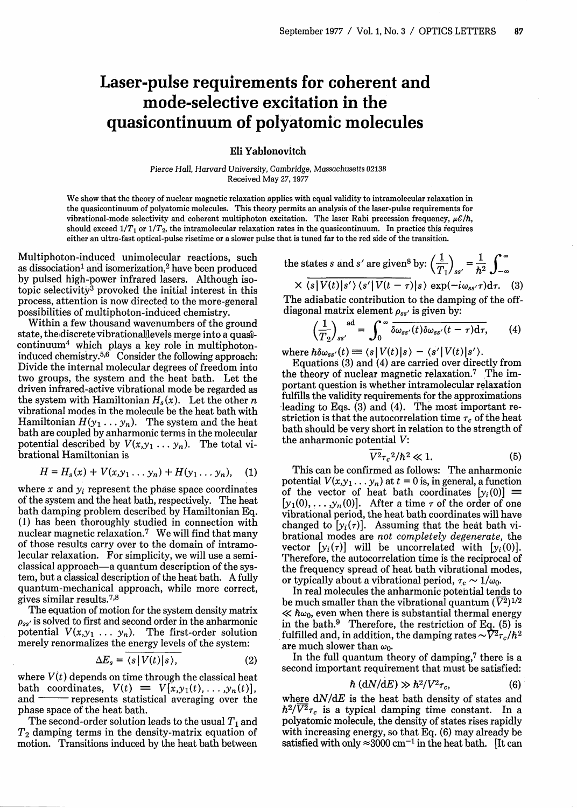## Laser-pulse requirements for coherent and mode-selective excitation **in** the quasicontinuum of polyatomic molecules

## **Eli Yablonovitch**

Pierce Hall, Harvard University, Cambridge, Massachusetts 02138 Received May 27,1977

We show that the theory of nuclear magnetic relaxation applies with equal validity to intramolecular relaxation in the quasicontinuum of polyatomic molecules. This theory permits an analysis of the laser-pulse requirements for vibrational-mode selectivity and coherent multiphoton excitation. The laser Rabi precession frequency, *ps/6h,* should exceed  $1/T_1$  or  $1/T_2$ , the intramolecular relaxation rates in the quasicontinuum. In practice this requires either an ultra-fast optical-pulse risetime or a slower pulse that is tuned far to the red side of the transition.

Multiphoton-induced unimolecular reactions, such as dissociation<sup>1</sup> and isomerization,<sup>2</sup> have been produced by pulsed high-power infrared lasers. Although isotopic selectivity3 provoked the initial interest in this process, attention is now directed to the more-general possibilities of multiphoton-induced chemistry.

Within a few thousand wavenumbers of the ground state, the discrete vibrational levels merge into a quasi $continuum<sup>4</sup>$  which plays a key role in multiphotoninduced chemistry.<sup>5,6</sup> Consider the following approach Divide the internal molecular degrees of freedom into two groups, the system and the heat bath. Let the driven infrared-active vibrational mode be regarded as the system with Hamiltonian  $H_s(x)$ . Let the other n vibrational modes in the molecule be the heat bath with Hamiltonian  $H(y_1 \ldots y_n)$ . The system and the heat bath are coupled by anharmonic terms in the molecular potential described by  $V(x,y_1 \ldots y_n)$ . The total vibrational Hamiltonian is groups, the system and the heat bath. Let the<br>
in infrared-active vibrational mode be regarded as<br>
ystem with Hamiltonian  $H_s(x)$ . Let the other *n*<br>
illumian  $H(y_1 \tldots y_n)$ . The system and the heat<br>
are coupled by anharmon

$$
H=H_s(x)+V(x,y_1\ldots y_n)+H(y_1\ldots y_n),\quad (1)
$$

where  $x$  and  $y_i$  represent the phase space coordinates of the system and the heat bath, respectively. The heat bath damping problem described by Hamiltonian Eq. (1) has been thoroughly studied in connection with nuclear magnetic relaxation.7 We will find that many of those results carry over to the domain of intramolecular relaxation. For simplicity, we will use a semiclassical approach-a quantum description of the system, but a classical description of the heat bath. A fully quantum-mechanical approach, while more correct, gives similar results.<sup>7,8</sup>

The equation of motion for the system density matrix *Pss'* is solved to first and second order in the anharmonic potential  $V(x,y_1 \ldots y_n)$ . The first-order solution merely renormalizes the energy levels of the system:

$$
\Delta E_s = \langle s | V(t) | s \rangle, \tag{2}
$$

where  $V(t)$  depends on time through the classical heat bath coordinates,  $V(t) \equiv V[x, y_1(t), \ldots, y_n(t)]$ ,<br>and — represents statistical averaging over the represents statistical averaging over the phase space of the heat bath.

The second-order solution leads to the usual  $T_1$  and  $T<sub>2</sub>$  damping terms in the density-matrix equation of motion. Transitions induced by the heat bath between

the states s and s' are given<sup>8</sup> by: 
$$
\left(\frac{1}{T_1}\right)_{ss'} = \frac{1}{\hbar^2} \int_{-\infty}^{\infty}
$$

$$
\times \langle s | V(t) | s' \rangle \langle s' | V(t - \tau) | s \rangle \exp(-i\omega_{ss'}\tau) d\tau.
$$
 (3)  
The adiabatic contribution to the damping of the off-  
diagonal matrix element  $\rho_{ss'}$  is given by:

$$
\left(\frac{1}{T_2}\right)_{ss'}^{\text{ad}} = \int_0^\infty \overline{\delta \omega_{ss'}(t) \delta \omega_{ss'}(t-\tau) d\tau},\qquad(4)
$$

where  $\hbar \delta \omega_{ss'}(t) \equiv \langle s|V(t)|s \rangle - \langle s'|V(t)|s' \rangle$ .

Equations (3) and (4) are carried over directly from the theory of nuclear magnetic relaxation.<sup>7</sup> The important question is whether intramolecular relaxation fulfills the validity requirements for the approximations leading to Eqs. (3) and (4). The most important restriction is that the autocorrelation time  $\tau_c$  of the heat bath should be very short in relation to the strength of the anharmonic potential V:

$$
\overline{V^2}\tau_c{}^2/\hbar^2 \ll 1. \tag{5}
$$

This can be confirmed as follows: The anharmonic potential  $V(x,y_1 \ldots y_n)$  at  $t = 0$  is, in general, a function of the vector of heat bath coordinates  $[y_i(0)] \equiv$  $[y_1(0), \ldots, y_n(0)]$ . After a time  $\tau$  of the order of one vibrational period, the heat bath coordinates will have changed to  $[y_i(\tau)]$ . Assuming that the heat bath vibrational modes are *not completely degenerate,* the vector  $[y_i(\tau)]$  will be uncorrelated with  $[y_i(0)]$ . Therefore, the autocorrelation time is the reciprocal of the frequency spread of heat bath vibrational modes, or typically about a vibrational period,  $\tau_c \sim 1/\omega_0$ .

In real molecules the anharmonic potential tends to be much smaller than the vibrational quantum  $(\overline{V^2})^{1/2}$  $\ll \hbar\omega_0$ , even when there is substantial thermal energy in the bath.<sup>9</sup> Therefore, the restriction of Eq. (5) is fulfilled and, in addition, the damping rates  ${\sim}\bar{V}^2\tau_c/\hbar^2$ are much slower than  $\omega_0$ .

In the full quantum theory of damping,<sup>7</sup> there is a second important requirement that must be satisfied:

$$
\hbar (dN/dE) \gg \hbar^2/V^2 \tau_c, \qquad (6)
$$

where  $dN/dE$  is the heat bath density of states and  $\hbar^2/\overline{V^2}_{\tau_c}$  is a typical damping time constant. In a polyatomic molecule, the density of states rises rapidly with increasing energy, so that Eq. (6) may already be satisfied with only  $\approx 3000 \text{ cm}^{-1}$  in the heat bath. [It can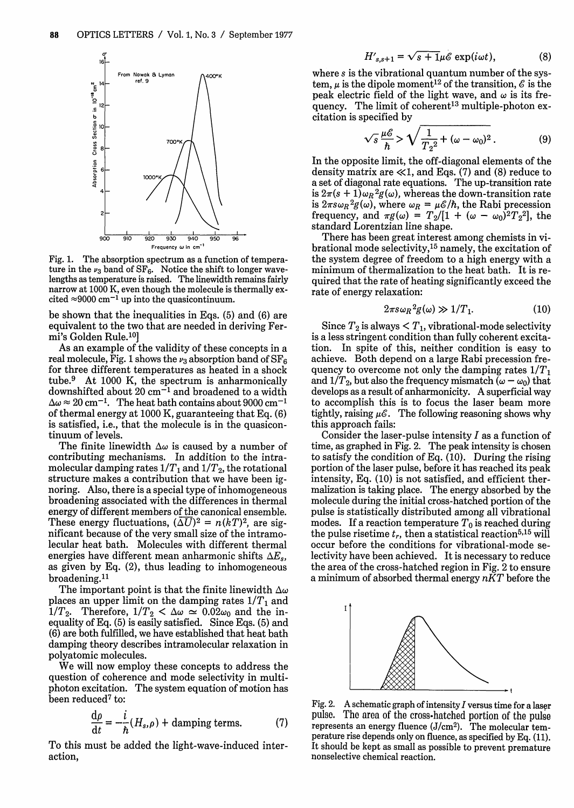

Fig. 1. The absorption spectrum as a function of temperature in the  $\nu_3$  band of SF<sub>6</sub>. Notice the shift to longer wavelengths as temperature is raised. The linewidth remains fairly narrow at 1000 K, even though the molecule is thermally excited  $\approx$ 9000 cm<sup>-1</sup> up into the quasicontinuum.

be shown that the inequalities in Eqs. (5) and (6) are equivalent to the two that are needed in deriving Fermi's Golden Rule.10]

As an example of the validity of these concepts in a real molecule, Fig. 1 shows the  $\nu_3$  absorption band of  $SF_6$ for three different temperatures as heated in a shock tube.9 At 1000 K, the spectrum is anharmonically downshifted about 20 cm-1 and broadened to a width  $\Delta\omega \approx 20 \text{ cm}^{-1}$ . The heat bath contains about 9000 cm<sup>-</sup> of thermal energy at 1000 K, guaranteeing that Eq. (6) is satisfied, i.e., that the molecule is in the quasicontinuum of levels.

The finite linewidth  $\Delta\omega$  is caused by a number of contributing mechanisms. In addition to the intramolecular damping rates  $1/T_{1}$  and  $1/T_{2}$ , the rotational structure makes a contribution that we have been ignoring. Also, there is a special type of inhomogeneous broadening associated with the differences in thermal energy of different members of the canonical ensemble. These energy fluctuations,  $(\overline{\Delta U})^2 = n(kT)^2$ , are significant because of the very small size of the intramolecular heat bath. Molecules with different thermal energies have different mean anharmonic shifts  $\Delta E_s$ , as given by Eq. (2), thus leading to inhomogeneous broadening.<sup>11</sup>

The important point is that the finite linewidth  $\Delta\omega$ places an upper limit on the damping rates  $1/T_1$  and  $1/T_2$ . Therefore,  $1/T_2 < \Delta \omega \approx 0.02\omega_0$  and the inequality of Eq. (5) is easily satisfied. Since Eqs. (5) and (6) are both fulfilled, we have established that heat bath damping theory describes intramolecular relaxation in polyatomic molecules.

We will now employ these concepts to address the question of coherence and mode selectivity in multiphoton excitation. The system equation of motion has been reduced<sup>7</sup> to:

$$
\frac{d\rho}{dt} = -\frac{i}{\hbar}(H_s, \rho) + damping terms.
$$
 (7)

To this must be added the light-wave-induced interaction,

$$
H'_{s,s+1} = \sqrt{s+1}\mu\mathscr{E}\exp(i\omega t),\tag{8}
$$

where s is the vibrational quantum number of the system,  $\mu$  is the dipole moment<sup>12</sup> of the transition,  $\mathscr E$  is the peak electric field of the light wave, and  $\omega$  is its frequency. The limit of coherent<sup>13</sup> multiple-photon excitation is specified by

$$
\sqrt{s}\frac{\mu\mathscr{E}}{h} > \sqrt{\frac{1}{T_2^2} + (\omega - \omega_0)^2}.
$$
 (9)

In the opposite limit, the off-diagonal elements of the density matrix are  $\ll$ 1, and Eqs. (7) and (8) reduce to a set of diagonal rate equations. The up-transition rate is  $2\pi(s + 1)\omega_R^2 g(\omega)$ , whereas the down-transition rate is  $2\pi s \omega_R^2 g(\omega)$ , where  $\omega_R = \mu \mathcal{E}/\hbar$ , the Rabi precession frequency, and  $\pi g(\omega) = T_2/[1 + (\omega - \omega_0)^2 T_2^2]$ , the standard Lorentzian line shape.

There has been great interest among chemists in vibrational mode selectivity,15 namely, the excitation of the system degree of freedom to a high energy with a minimum of thermalization to the heat bath. It is required that the rate of heating significantly exceed the rate of energy relaxation:

$$
2\pi s \omega_R^2 g(\omega) \gg 1/T_1. \tag{10}
$$

Since  $T_2$  is always  $\lt T_1$ , vibrational-mode selectivity is a less stringent condition than fully coherent excitation. In spite of this, neither condition is easy to achieve. Both depend on a large Rabi precession frequency to overcome not only the damping rates  $1/T_1$ and  $1/T_2$ , but also the frequency mismatch  $(\omega - \omega_0)$  that develops as a result of anharmonicity. A superficial way to accomplish this is to focus the laser beam more tightly, raising  $\mu \mathscr{E}$ . The following reasoning shows why this approach fails:

Consider the laser-pulse intensity  $I$  as a function of time, as graphed in Fig. 2. The peak intensity is chosen to satisfy the condition of Eq. (10). During the rising portion of the laser pulse, before it has reached its peak intensity, Eq. (10) is not satisfied, and efficient thermalization is taking place. The energy absorbed by the molecule during the initial cross-hatched portion of the pulse is statistically distributed among all vibrational modes. If a reaction temperature  $T_0$  is reached during the pulse risetime  $t_r$ , then a statistical reaction<sup>5,15</sup> will occur before the conditions for vibrational-mode selectivity have been achieved. It is necessary to reduce the area of the cross-hatched region in Fig. 2 to ensure a minimum of absorbed thermal energy *nKT* before the



Fig. 2. A schematic graph of intensity  $I$  versus time for a laser pulse. The area of the cross-hatched portion of the pulse represents an energy fluence  $(J/cm<sup>2</sup>)$ . The molecular temperature rise depends only on fluence, as specified by Eq. (11). It should be kept as small as possible to prevent premature nonselective chemical reaction.